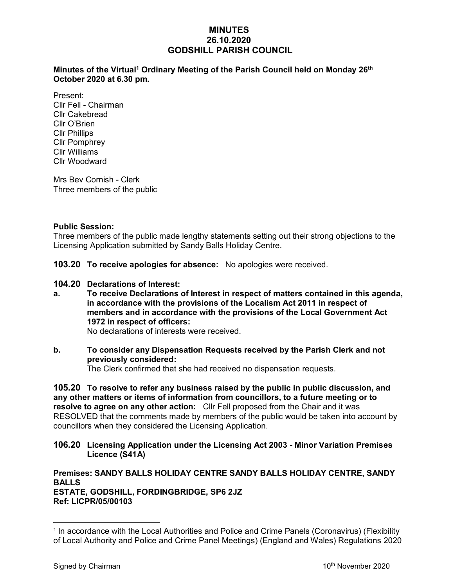## **MINUTES 26.10.2020 GODSHILL PARISH COUNCIL**

### **Minutes of the Virtual<sup>1</sup> Ordinary Meeting of the Parish Council held on Monday 26th October 2020 at 6.30 pm.**

Present: Cllr Fell - Chairman Cllr Cakebread Cllr O'Brien Cllr Phillips Cllr Pomphrey Cllr Williams Cllr Woodward

Mrs Bev Cornish - Clerk Three members of the public

## **Public Session:**

Three members of the public made lengthy statements setting out their strong objections to the Licensing Application submitted by Sandy Balls Holiday Centre.

**103.20 To receive apologies for absence:** No apologies were received.

- **104.20 Declarations of Interest:**
- **a. To receive Declarations of Interest in respect of matters contained in this agenda, in accordance with the provisions of the Localism Act 2011 in respect of members and in accordance with the provisions of the Local Government Act 1972 in respect of officers:**

No declarations of interests were received.

# **b. To consider any Dispensation Requests received by the Parish Clerk and not previously considered:**

The Clerk confirmed that she had received no dispensation requests.

**105.20 To resolve to refer any business raised by the public in public discussion, and any other matters or items of information from councillors, to a future meeting or to resolve to agree on any other action:** Cllr Fell proposed from the Chair and it was RESOLVED that the comments made by members of the public would be taken into account by councillors when they considered the Licensing Application.

**106.20 Licensing Application under the Licensing Act 2003 - Minor Variation Premises Licence (S41A)**

**Premises: SANDY BALLS HOLIDAY CENTRE SANDY BALLS HOLIDAY CENTRE, SANDY BALLS ESTATE, GODSHILL, FORDINGBRIDGE, SP6 2JZ Ref: LICPR/05/00103**

<sup>&</sup>lt;sup>1</sup> In accordance with the Local Authorities and Police and Crime Panels (Coronavirus) (Flexibility of Local Authority and Police and Crime Panel Meetings) (England and Wales) Regulations 2020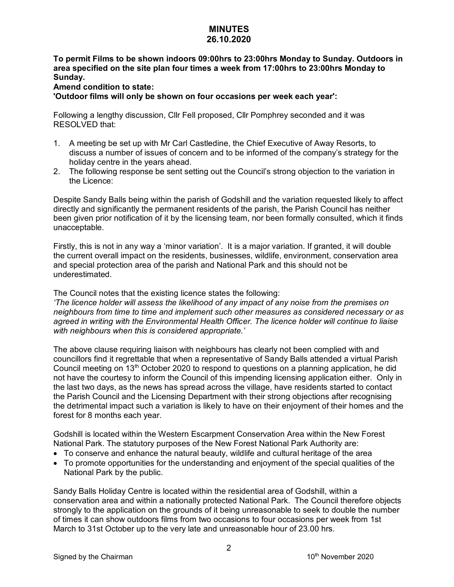### **MINUTES 26.10.2020**

**To permit Films to be shown indoors 09:00hrs to 23:00hrs Monday to Sunday. Outdoors in area specified on the site plan four times a week from 17:00hrs to 23:00hrs Monday to Sunday.** 

## **Amend condition to state:**

**'Outdoor films will only be shown on four occasions per week each year':**

Following a lengthy discussion, Cllr Fell proposed, Cllr Pomphrey seconded and it was RESOLVED that:

- 1. A meeting be set up with Mr Carl Castledine, the Chief Executive of Away Resorts, to discuss a number of issues of concern and to be informed of the company's strategy for the holiday centre in the years ahead.
- 2. The following response be sent setting out the Council's strong objection to the variation in the Licence:

Despite Sandy Balls being within the parish of Godshill and the variation requested likely to affect directly and significantly the permanent residents of the parish, the Parish Council has neither been given prior notification of it by the licensing team, nor been formally consulted, which it finds unacceptable.

Firstly, this is not in any way a 'minor variation'. It is a major variation. If granted, it will double the current overall impact on the residents, businesses, wildlife, environment, conservation area and special protection area of the parish and National Park and this should not be underestimated.

The Council notes that the existing licence states the following:

*'The licence holder will assess the likelihood of any impact of any noise from the premises on neighbours from time to time and implement such other measures as considered necessary or as agreed in writing with the Environmental Health Officer. The licence holder will continue to liaise with neighbours when this is considered appropriate.'*

The above clause requiring liaison with neighbours has clearly not been complied with and councillors find it regrettable that when a representative of Sandy Balls attended a virtual Parish Council meeting on 13<sup>th</sup> October 2020 to respond to questions on a planning application, he did not have the courtesy to inform the Council of this impending licensing application either. Only in the last two days, as the news has spread across the village, have residents started to contact the Parish Council and the Licensing Department with their strong objections after recognising the detrimental impact such a variation is likely to have on their enjoyment of their homes and the forest for 8 months each year.

Godshill is located within the Western Escarpment Conservation Area within the New Forest National Park. The statutory purposes of the New Forest National Park Authority are:

- To conserve and enhance the natural beauty, wildlife and cultural heritage of the area
- To promote opportunities for the understanding and enjoyment of the special qualities of the National Park by the public.

Sandy Balls Holiday Centre is located within the residential area of Godshill, within a conservation area and within a nationally protected National Park. The Council therefore objects strongly to the application on the grounds of it being unreasonable to seek to double the number of times it can show outdoors films from two occasions to four occasions per week from 1st March to 31st October up to the very late and unreasonable hour of 23.00 hrs.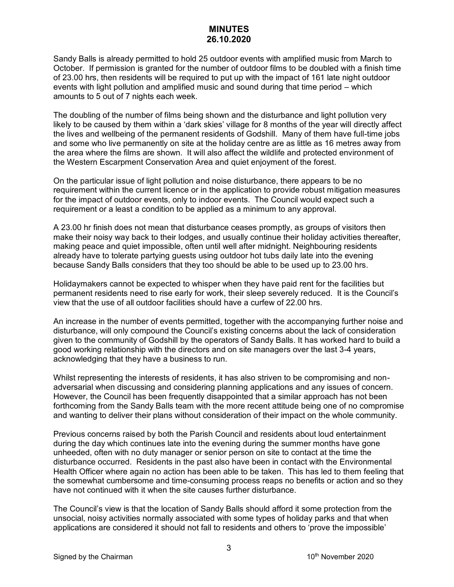# **MINUTES 26.10.2020**

Sandy Balls is already permitted to hold 25 outdoor events with amplified music from March to October. If permission is granted for the number of outdoor films to be doubled with a finish time of 23.00 hrs, then residents will be required to put up with the impact of 161 late night outdoor events with light pollution and amplified music and sound during that time period – which amounts to 5 out of 7 nights each week.

The doubling of the number of films being shown and the disturbance and light pollution very likely to be caused by them within a 'dark skies' village for 8 months of the year will directly affect the lives and wellbeing of the permanent residents of Godshill. Many of them have full-time jobs and some who live permanently on site at the holiday centre are as little as 16 metres away from the area where the films are shown. It will also affect the wildlife and protected environment of the Western Escarpment Conservation Area and quiet enjoyment of the forest.

On the particular issue of light pollution and noise disturbance, there appears to be no requirement within the current licence or in the application to provide robust mitigation measures for the impact of outdoor events, only to indoor events. The Council would expect such a requirement or a least a condition to be applied as a minimum to any approval.

A 23.00 hr finish does not mean that disturbance ceases promptly, as groups of visitors then make their noisy way back to their lodges, and usually continue their holiday activities thereafter, making peace and quiet impossible, often until well after midnight. Neighbouring residents already have to tolerate partying guests using outdoor hot tubs daily late into the evening because Sandy Balls considers that they too should be able to be used up to 23.00 hrs.

Holidaymakers cannot be expected to whisper when they have paid rent for the facilities but permanent residents need to rise early for work, their sleep severely reduced. It is the Council's view that the use of all outdoor facilities should have a curfew of 22.00 hrs.

An increase in the number of events permitted, together with the accompanying further noise and disturbance, will only compound the Council's existing concerns about the lack of consideration given to the community of Godshill by the operators of Sandy Balls. It has worked hard to build a good working relationship with the directors and on site managers over the last 3-4 years, acknowledging that they have a business to run.

Whilst representing the interests of residents, it has also striven to be compromising and nonadversarial when discussing and considering planning applications and any issues of concern. However, the Council has been frequently disappointed that a similar approach has not been forthcoming from the Sandy Balls team with the more recent attitude being one of no compromise and wanting to deliver their plans without consideration of their impact on the whole community.

Previous concerns raised by both the Parish Council and residents about loud entertainment during the day which continues late into the evening during the summer months have gone unheeded, often with no duty manager or senior person on site to contact at the time the disturbance occurred. Residents in the past also have been in contact with the Environmental Health Officer where again no action has been able to be taken. This has led to them feeling that the somewhat cumbersome and time-consuming process reaps no benefits or action and so they have not continued with it when the site causes further disturbance.

The Council's view is that the location of Sandy Balls should afford it some protection from the unsocial, noisy activities normally associated with some types of holiday parks and that when applications are considered it should not fall to residents and others to 'prove the impossible'